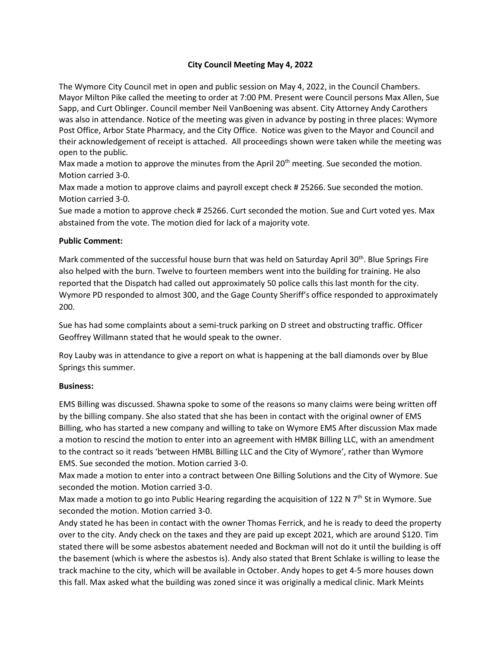## **City Council Meeting May 4, 2022**

The Wymore City Council met in open and public session on May 4, 2022, in the Council Chambers. Mayor Milton Pike called the meeting to order at 7:00 PM. Present were Council persons Max Allen, Sue Sapp, and Curt Oblinger. Council member Neil VanBoening was absent. City Attorney Andy Carothers was also in attendance. Notice of the meeting was given in advance by posting in three places: Wymore Post Office, Arbor State Pharmacy, and the City Office. Notice was given to the Mayor and Council and their acknowledgement of receipt is attached. All proceedings shown were taken while the meeting was open to the public.

Max made a motion to approve the minutes from the April  $20<sup>th</sup>$  meeting. Sue seconded the motion. Motion carried 3-0.

Max made a motion to approve claims and payroll except check # 25266. Sue seconded the motion. Motion carried 3-0.

Sue made a motion to approve check # 25266. Curt seconded the motion. Sue and Curt voted yes. Max abstained from the vote. The motion died for lack of a majority vote.

## **Public Comment:**

Mark commented of the successful house burn that was held on Saturday April 30<sup>th</sup>. Blue Springs Fire also helped with the burn. Twelve to fourteen members went into the building for training. He also reported that the Dispatch had called out approximately 50 police calls this last month for the city. Wymore PD responded to almost 300, and the Gage County Sheriff's office responded to approximately 200.

Sue has had some complaints about a semi-truck parking on D street and obstructing traffic. Officer Geoffrey Willmann stated that he would speak to the owner.

Roy Lauby was in attendance to give a report on what is happening at the ball diamonds over by Blue Springs this summer.

## **Business:**

EMS Billing was discussed. Shawna spoke to some of the reasons so many claims were being written off by the billing company. She also stated that she has been in contact with the original owner of EMS Billing, who has started a new company and willing to take on Wymore EMS After discussion Max made a motion to rescind the motion to enter into an agreement with HMBK Billing LLC, with an amendment to the contract so it reads 'between HMBL Billing LLC and the City of Wymore', rather than Wymore EMS. Sue seconded the motion. Motion carried 3-0.

Max made a motion to enter into a contract between One Billing Solutions and the City of Wymore. Sue seconded the motion. Motion carried 3-0.

Max made a motion to go into Public Hearing regarding the acquisition of 122 N 7<sup>th</sup> St in Wymore. Sue seconded the motion. Motion carried 3-0.

Andy stated he has been in contact with the owner Thomas Ferrick, and he is ready to deed the property over to the city. Andy check on the taxes and they are paid up except 2021, which are around \$120. Tim stated there will be some asbestos abatement needed and Bockman will not do it until the building is off the basement (which is where the asbestos is). Andy also stated that Brent Schlake is willing to lease the track machine to the city, which will be available in October. Andy hopes to get 4-5 more houses down this fall. Max asked what the building was zoned since it was originally a medical clinic. Mark Meints